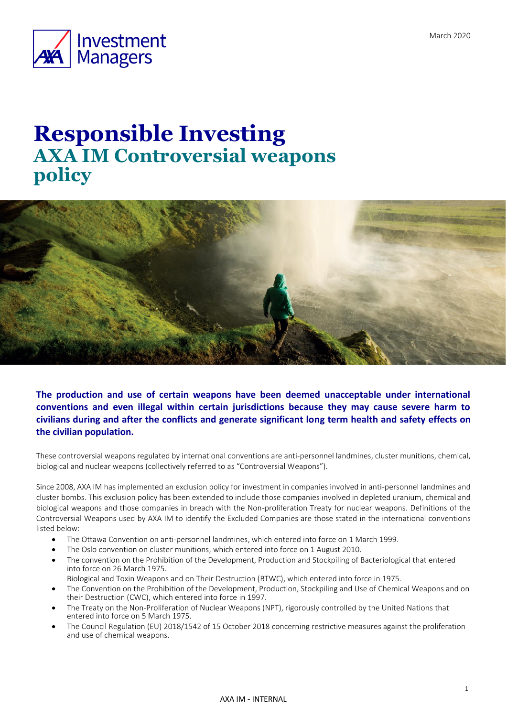

# **Responsible Investing AXA IM Controversial weapons policy**



**The production and use of certain weapons have been deemed unacceptable under international conventions and even illegal within certain jurisdictions because they may cause severe harm to civilians during and after the conflicts and generate significant long term health and safety effects on the civilian population.** 

These controversial weapons regulated by international conventions are anti-personnel landmines, cluster munitions, chemical, biological and nuclear weapons (collectively referred to as "Controversial Weapons").

Since 2008, AXA IM has implemented an exclusion policy for investment in companies involved in anti-personnel landmines and cluster bombs. This exclusion policy has been extended to include those companies involved in depleted uranium, chemical and biological weapons and those companies in breach with the Non-proliferation Treaty for nuclear weapons. Definitions of the Controversial Weapons used by AXA IM to identify the Excluded Companies are those stated in the international conventions listed below:

- The [Ottawa](http://www.icrc.org/ihl.nsf/FULL/580?OpenDocument) Convention on anti-personnel landmines, which entered into force on 1 March 1999.
- The Oslo convention on cluster munitions, which entered into force on 1 August 2010.
- The convention on the Prohibition of the Development, Production and Stockpiling of Bacteriological that entered into force on 26 March 1975.
- Biological and Toxin Weapons and on Their Destruction (BTWC), which entered into force in 1975.
- The Convention on the Prohibition of the Development, Production, Stockpiling and Use of Chemical Weapons and on their Destruction (CWC), which entered into force in 1997.
- The Treaty on the Non-Proliferation of Nuclear Weapons (NPT), rigorously controlled by the United Nations that entered into force on 5 March 1975.
- The Council Regulation (EU) 2018/1542 of 15 October 2018 concerning restrictive measures against the proliferation and use of chemical weapons.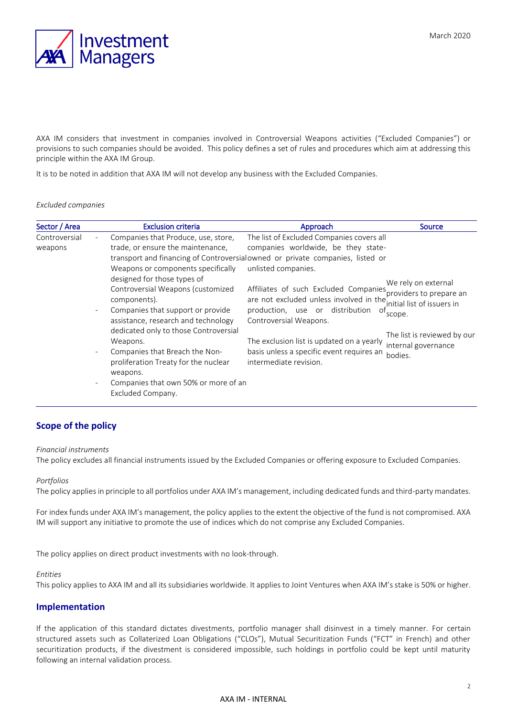

AXA IM considers that investment in companies involved in Controversial Weapons activities ("Excluded Companies") or provisions to such companies should be avoided. This policy defines a set of rules and procedures which aim at addressing this principle within the AXA IM Group.

It is to be noted in addition that AXA IM will not develop any business with the Excluded Companies.

#### *Excluded companies*

| Sector / Area | <b>Exclusion criteria</b>                                                                                                                                                                                                                                                                                                                                            | Approach                                                                                                                                                                                                                                                                | Source                                                                                                                                                   |
|---------------|----------------------------------------------------------------------------------------------------------------------------------------------------------------------------------------------------------------------------------------------------------------------------------------------------------------------------------------------------------------------|-------------------------------------------------------------------------------------------------------------------------------------------------------------------------------------------------------------------------------------------------------------------------|----------------------------------------------------------------------------------------------------------------------------------------------------------|
| Controversial | Companies that Produce, use, store,                                                                                                                                                                                                                                                                                                                                  | The list of Excluded Companies covers all                                                                                                                                                                                                                               |                                                                                                                                                          |
| weapons       | trade, or ensure the maintenance,                                                                                                                                                                                                                                                                                                                                    | companies worldwide, be they state-                                                                                                                                                                                                                                     |                                                                                                                                                          |
|               |                                                                                                                                                                                                                                                                                                                                                                      | transport and financing of Controversialowned or private companies, listed or                                                                                                                                                                                           |                                                                                                                                                          |
|               | Weapons or components specifically                                                                                                                                                                                                                                                                                                                                   | unlisted companies.                                                                                                                                                                                                                                                     |                                                                                                                                                          |
|               | designed for those types of<br>Controversial Weapons (customized<br>components).<br>Companies that support or provide<br>assistance, research and technology<br>dedicated only to those Controversial<br>Weapons.<br>Companies that Breach the Non-<br>proliferation Treaty for the nuclear<br>weapons.<br>Companies that own 50% or more of an<br>Excluded Company. | Affiliates of such Excluded Companies<br>are not excluded unless involved in the<br>production, use or distribution<br>ot<br>Controversial Weapons.<br>The exclusion list is updated on a yearly<br>basis unless a specific event requires an<br>intermediate revision. | We rely on external<br>'providers to prepare an<br>initial list of issuers in<br>scope.<br>The list is reviewed by our<br>internal governance<br>bodies. |

# **Scope of the policy**

#### *Financial instruments*

The policy excludes all financial instruments issued by the Excluded Companies or offering exposure to Excluded Companies.

#### *Portfolios*

The policy applies in principle to all portfolios under AXA IM's management, including dedicated funds and third-party mandates.

For index funds under AXA IM's management, the policy applies to the extent the objective of the fund is not compromised. AXA IM will support any initiative to promote the use of indices which do not comprise any Excluded Companies.

The policy applies on direct product investments with no look-through.

#### *Entities*

This policy applies to AXA IM and all its subsidiaries worldwide. It applies to Joint Ventures when AXA IM's stake is 50% or higher.

## **Implementation**

If the application of this standard dictates divestments, portfolio manager shall disinvest in a timely manner. For certain structured assets such as Collaterized Loan Obligations ("CLOs"), Mutual Securitization Funds ("FCT" in French) and other securitization products, if the divestment is considered impossible, such holdings in portfolio could be kept until maturity following an internal validation process.

### AXA IM - INTERNAL